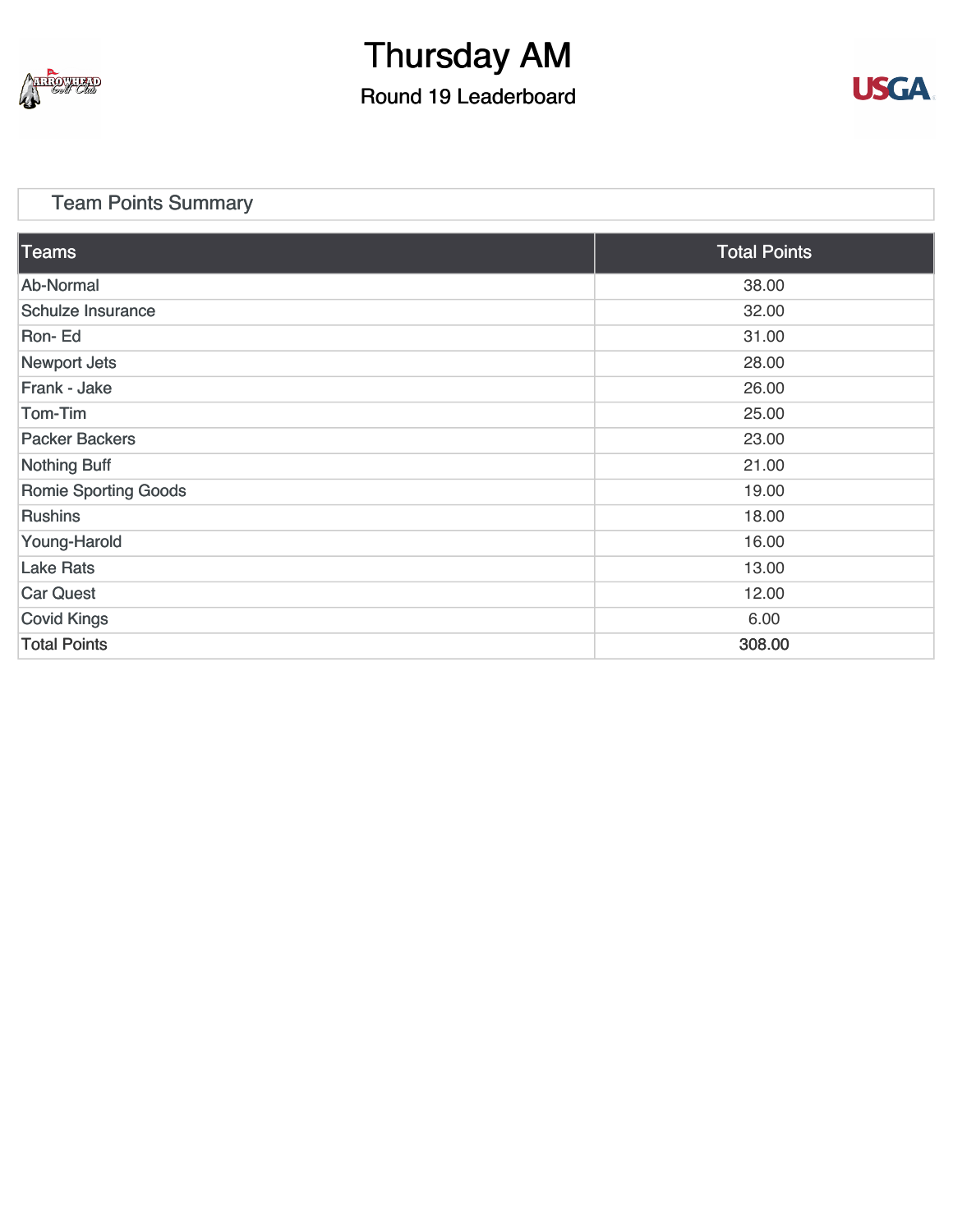

### Thursday AM

Round 19 Leaderboard



#### [Team Points Summary](https://cdn2.golfgenius.com/v2tournaments/team_points?league_id=6401213878914524652&round_id=6401249343667446957)

| <b>Teams</b>                | <b>Total Points</b> |
|-----------------------------|---------------------|
| Ab-Normal                   | 38.00               |
| <b>Schulze Insurance</b>    | 32.00               |
| Ron-Ed                      | 31.00               |
| Newport Jets                | 28.00               |
| Frank - Jake                | 26.00               |
| Tom-Tim                     | 25.00               |
| <b>Packer Backers</b>       | 23.00               |
| Nothing Buff                | 21.00               |
| <b>Romie Sporting Goods</b> | 19.00               |
| <b>Rushins</b>              | 18.00               |
| Young-Harold                | 16.00               |
| <b>Lake Rats</b>            | 13.00               |
| <b>Car Quest</b>            | 12.00               |
| Covid Kings                 | 6.00                |
| <b>Total Points</b>         | 308.00              |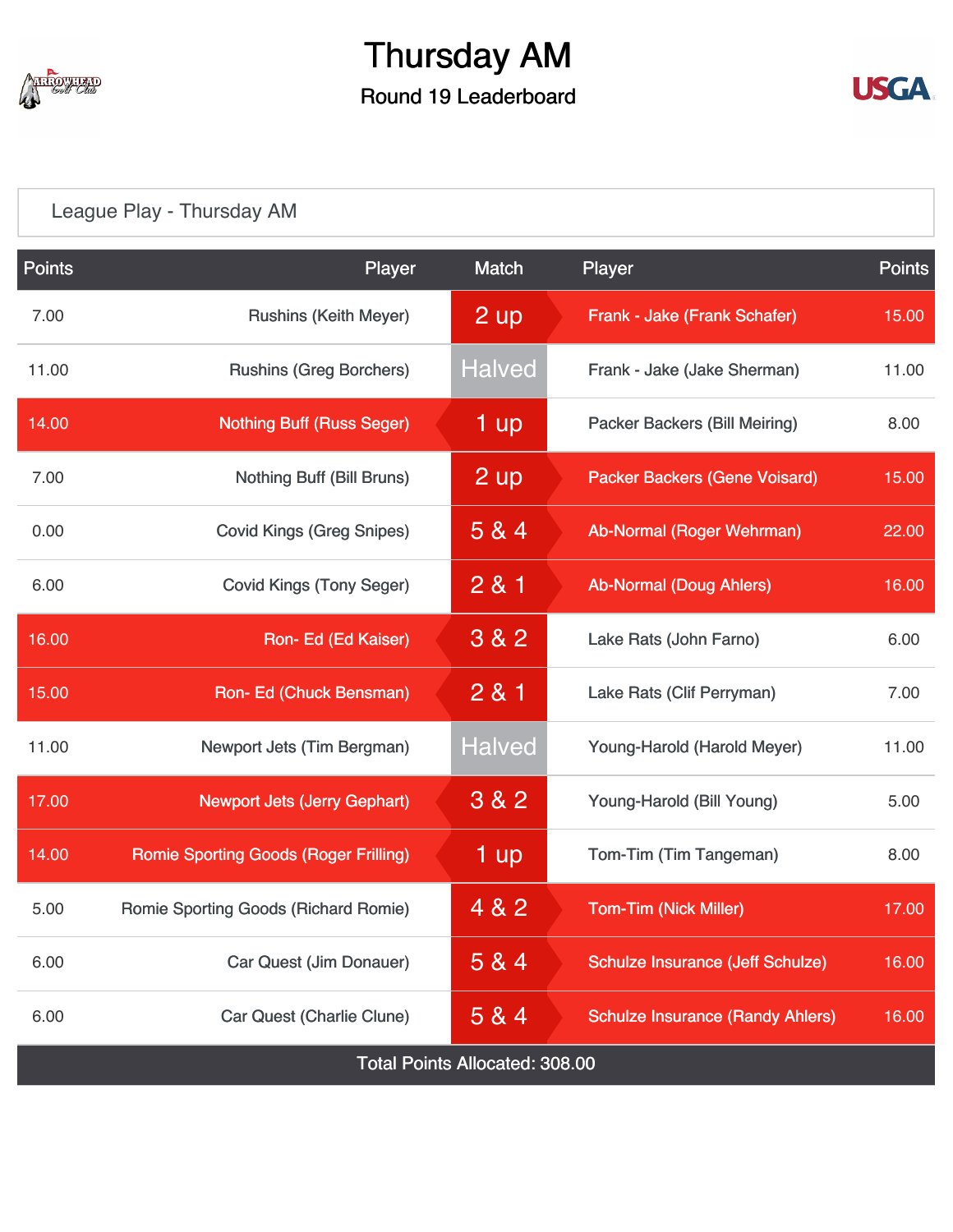

# Thursday AM

#### Round 19 Leaderboard



#### [League Play - Thursday AM](https://cdn2.golfgenius.com/v2tournaments/6401335790420370509?called_from=)

| <b>Points</b>                         | Player                                       |  | <b>Match</b>      | Player |                                         | <b>Points</b> |  |  |
|---------------------------------------|----------------------------------------------|--|-------------------|--------|-----------------------------------------|---------------|--|--|
| 7.00                                  | <b>Rushins (Keith Meyer)</b>                 |  | 2 up              |        | Frank - Jake (Frank Schafer)            | 15.00         |  |  |
| 11.00                                 | <b>Rushins (Greg Borchers)</b>               |  | <b>Halved</b>     |        | Frank - Jake (Jake Sherman)             | 11.00         |  |  |
| 14.00                                 | <b>Nothing Buff (Russ Seger)</b>             |  | $1 \overline{up}$ |        | Packer Backers (Bill Meiring)           | 8.00          |  |  |
| 7.00                                  | Nothing Buff (Bill Bruns)                    |  | $2$ up            |        | <b>Packer Backers (Gene Voisard)</b>    | 15.00         |  |  |
| 0.00                                  | <b>Covid Kings (Greg Snipes)</b>             |  | 5 & 4             |        | Ab-Normal (Roger Wehrman)               | 22.00         |  |  |
| 6.00                                  | <b>Covid Kings (Tony Seger)</b>              |  | 2 & 1             |        | <b>Ab-Normal (Doug Ahlers)</b>          | 16.00         |  |  |
| 16.00                                 | Ron-Ed (Ed Kaiser)                           |  | 3 & 2             |        | Lake Rats (John Farno)                  | 6.00          |  |  |
| 15.00                                 | Ron- Ed (Chuck Bensman)                      |  | 281               |        | Lake Rats (Clif Perryman)               | 7.00          |  |  |
| 11.00                                 | Newport Jets (Tim Bergman)                   |  | <b>Halved</b>     |        | Young-Harold (Harold Meyer)             | 11.00         |  |  |
| 17.00                                 | <b>Newport Jets (Jerry Gephart)</b>          |  | 3 & 2             |        | Young-Harold (Bill Young)               | 5.00          |  |  |
| 14.00                                 | <b>Romie Sporting Goods (Roger Frilling)</b> |  | $1$ up            |        | Tom-Tim (Tim Tangeman)                  | 8.00          |  |  |
| 5.00                                  | Romie Sporting Goods (Richard Romie)         |  | 4 & 2             |        | <b>Tom-Tim (Nick Miller)</b>            | 17.00         |  |  |
| 6.00                                  | Car Quest (Jim Donauer)                      |  | 5 & 4             |        | <b>Schulze Insurance (Jeff Schulze)</b> | 16.00         |  |  |
| 6.00                                  | <b>Car Quest (Charlie Clune)</b>             |  | 5 & 4             |        | <b>Schulze Insurance (Randy Ahlers)</b> | 16.00         |  |  |
| <b>Total Points Allocated: 308.00</b> |                                              |  |                   |        |                                         |               |  |  |